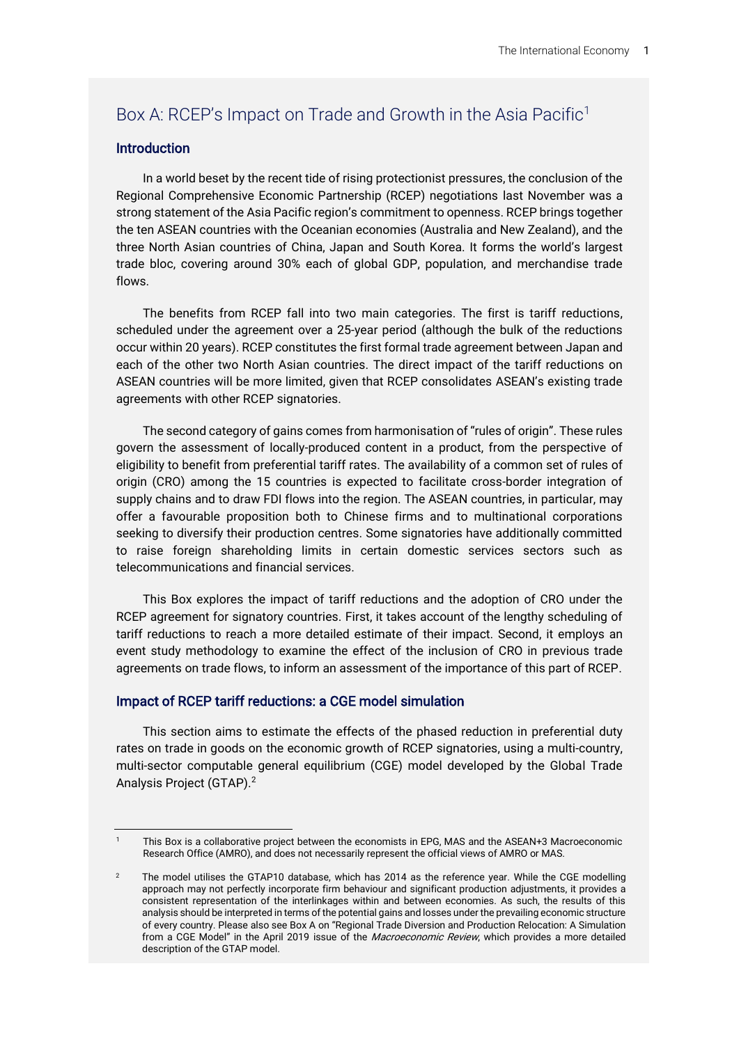# Box A: RCEP's Impact on Trade and Growth in the Asia Pacific<sup>1</sup>

# **Introduction**

In a world beset by the recent tide of rising protectionist pressures, the conclusion of the Regional Comprehensive Economic Partnership (RCEP) negotiations last November was a strong statement of the Asia Pacific region's commitment to openness. RCEP brings together the ten ASEAN countries with the Oceanian economies (Australia and New Zealand), and the three North Asian countries of China, Japan and South Korea. It forms the world's largest trade bloc, covering around 30% each of global GDP, population, and merchandise trade flows.

The benefits from RCEP fall into two main categories. The first is tariff reductions, scheduled under the agreement over a 25-year period (although the bulk of the reductions occur within 20 years). RCEP constitutes the first formal trade agreement between Japan and each of the other two North Asian countries. The direct impact of the tariff reductions on ASEAN countries will be more limited, given that RCEP consolidates ASEAN's existing trade agreements with other RCEP signatories.

The second category of gains comes from harmonisation of "rules of origin". These rules govern the assessment of locally-produced content in a product, from the perspective of eligibility to benefit from preferential tariff rates. The availability of a common set of rules of origin (CRO) among the 15 countries is expected to facilitate cross-border integration of supply chains and to draw FDI flows into the region. The ASEAN countries, in particular, may offer a favourable proposition both to Chinese firms and to multinational corporations seeking to diversify their production centres. Some signatories have additionally committed to raise foreign shareholding limits in certain domestic services sectors such as telecommunications and financial services.

This Box explores the impact of tariff reductions and the adoption of CRO under the RCEP agreement for signatory countries. First, it takes account of the lengthy scheduling of tariff reductions to reach a more detailed estimate of their impact. Second, it employs an event study methodology to examine the effect of the inclusion of CRO in previous trade agreements on trade flows, to inform an assessment of the importance of this part of RCEP.

# Impact of RCEP tariff reductions: a CGE model simulation

This section aims to estimate the effects of the phased reduction in preferential duty rates on trade in goods on the economic growth of RCEP signatories, using a multi-country, multi-sector computable general equilibrium (CGE) model developed by the Global Trade Analysis Project (GTAP).<sup>2</sup>

This Box is a collaborative project between the economists in EPG, MAS and the ASEAN+3 Macroeconomic Research Office (AMRO), and does not necessarily represent the official views of AMRO or MAS.

<sup>2</sup> The model utilises the GTAP10 database, which has 2014 as the reference year. While the CGE modelling approach may not perfectly incorporate firm behaviour and significant production adjustments, it provides a consistent representation of the interlinkages within and between economies. As such, the results of this analysis should be interpreted in terms of the potential gains and losses under the prevailing economic structure of every country. Please also see Box A on "Regional Trade Diversion and Production Relocation: A Simulation from a CGE Model" in the April 2019 issue of the Macroeconomic Review, which provides a more detailed description of the GTAP model.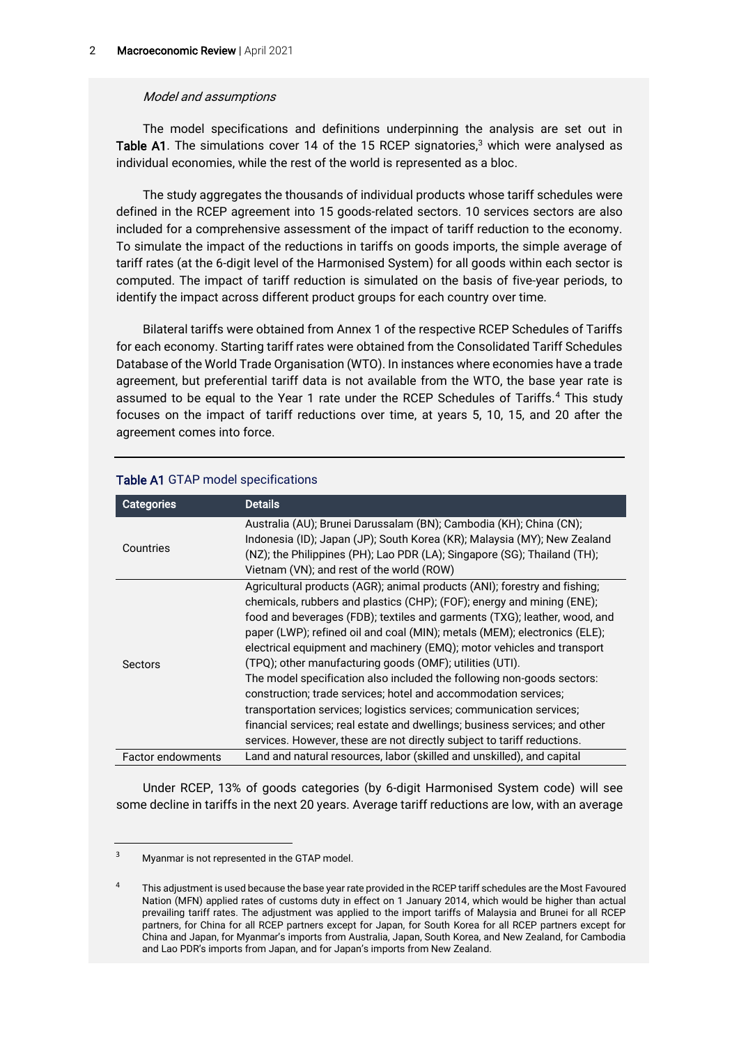## Model and assumptions

The model specifications and definitions underpinning the analysis are set out in Table A1. The simulations cover 14 of the 15 RCEP signatories,<sup>3</sup> which were analysed as individual economies, while the rest of the world is represented as a bloc.

The study aggregates the thousands of individual products whose tariff schedules were defined in the RCEP agreement into 15 goods-related sectors. 10 services sectors are also included for a comprehensive assessment of the impact of tariff reduction to the economy. To simulate the impact of the reductions in tariffs on goods imports, the simple average of tariff rates (at the 6-digit level of the Harmonised System) for all goods within each sector is computed. The impact of tariff reduction is simulated on the basis of five-year periods, to identify the impact across different product groups for each country over time.

Bilateral tariffs were obtained from Annex 1 of the respective RCEP Schedules of Tariffs for each economy. Starting tariff rates were obtained from the Consolidated Tariff Schedules Database of the World Trade Organisation (WTO). In instances where economies have a trade agreement, but preferential tariff data is not available from the WTO, the base year rate is assumed to be equal to the Year 1 rate under the RCEP Schedules of Tariffs.<sup>4</sup> This study focuses on the impact of tariff reductions over time, at years 5, 10, 15, and 20 after the agreement comes into force.

| <b>Categories</b>        | <b>Details</b>                                                              |
|--------------------------|-----------------------------------------------------------------------------|
| Countries                | Australia (AU); Brunei Darussalam (BN); Cambodia (KH); China (CN);          |
|                          | Indonesia (ID); Japan (JP); South Korea (KR); Malaysia (MY); New Zealand    |
|                          | (NZ); the Philippines (PH); Lao PDR (LA); Singapore (SG); Thailand (TH);    |
|                          | Vietnam (VN); and rest of the world (ROW)                                   |
| Sectors                  | Agricultural products (AGR); animal products (ANI); forestry and fishing;   |
|                          | chemicals, rubbers and plastics (CHP); (FOF); energy and mining (ENE);      |
|                          | food and beverages (FDB); textiles and garments (TXG); leather, wood, and   |
|                          | paper (LWP); refined oil and coal (MIN); metals (MEM); electronics (ELE);   |
|                          | electrical equipment and machinery (EMQ); motor vehicles and transport      |
|                          | (TPQ); other manufacturing goods (OMF); utilities (UTI).                    |
|                          | The model specification also included the following non-goods sectors:      |
|                          | construction; trade services; hotel and accommodation services;             |
|                          | transportation services; logistics services; communication services;        |
|                          | financial services; real estate and dwellings; business services; and other |
|                          | services. However, these are not directly subject to tariff reductions.     |
| <b>Factor endowments</b> | Land and natural resources, labor (skilled and unskilled), and capital      |

# Table A1 GTAP model specifications

Under RCEP, 13% of goods categories (by 6-digit Harmonised System code) will see some decline in tariffs in the next 20 years. Average tariff reductions are low, with an average

<sup>3</sup> Myanmar is not represented in the GTAP model.

<sup>4</sup> This adjustment is used because the base year rate provided in the RCEP tariff schedules are the Most Favoured Nation (MFN) applied rates of customs duty in effect on 1 January 2014, which would be higher than actual prevailing tariff rates. The adjustment was applied to the import tariffs of Malaysia and Brunei for all RCEP partners, for China for all RCEP partners except for Japan, for South Korea for all RCEP partners except for China and Japan, for Myanmar's imports from Australia, Japan, South Korea, and New Zealand, for Cambodia and Lao PDR's imports from Japan, and for Japan's imports from New Zealand.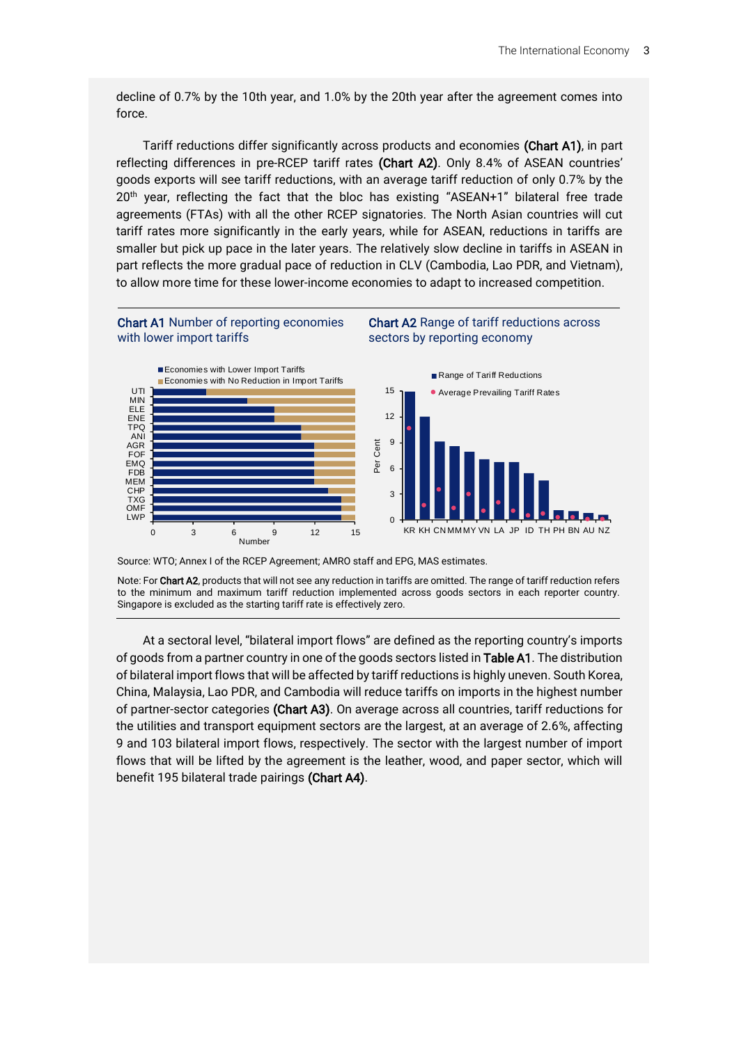decline of 0.7% by the 10th year, and 1.0% by the 20th year after the agreement comes into force.

Tariff reductions differ significantly across products and economies (Chart A1), in part reflecting differences in pre-RCEP tariff rates (Chart A2). Only 8.4% of ASEAN countries' goods exports will see tariff reductions, with an average tariff reduction of only 0.7% by the 20<sup>th</sup> year, reflecting the fact that the bloc has existing "ASEAN+1" bilateral free trade agreements (FTAs) with all the other RCEP signatories. The North Asian countries will cut tariff rates more significantly in the early years, while for ASEAN, reductions in tariffs are smaller but pick up pace in the later years. The relatively slow decline in tariffs in ASEAN in part reflects the more gradual pace of reduction in CLV (Cambodia, Lao PDR, and Vietnam), to allow more time for these lower-income economies to adapt to increased competition.



Source: WTO; Annex I of the RCEP Agreement; AMRO staff and EPG, MAS estimates.

0 3 6 9 12 15 Number

Note: For Chart A2, products that will not see any reduction in tariffs are omitted. The range of tariff reduction refers to the minimum and maximum tariff reduction implemented across goods sectors in each reporter country. Singapore is excluded as the starting tariff rate is effectively zero.

At a sectoral level, "bilateral import flows" are defined as the reporting country's imports of goods from a partner country in one of the goods sectors listed in Table A1. The distribution of bilateral import flows that will be affected by tariff reductions is highly uneven. South Korea, China, Malaysia, Lao PDR, and Cambodia will reduce tariffs on imports in the highest number of partner-sector categories (Chart A3). On average across all countries, tariff reductions for the utilities and transport equipment sectors are the largest, at an average of 2.6%, affecting 9 and 103 bilateral import flows, respectively. The sector with the largest number of import flows that will be lifted by the agreement is the leather, wood, and paper sector, which will benefit 195 bilateral trade pairings (Chart A4).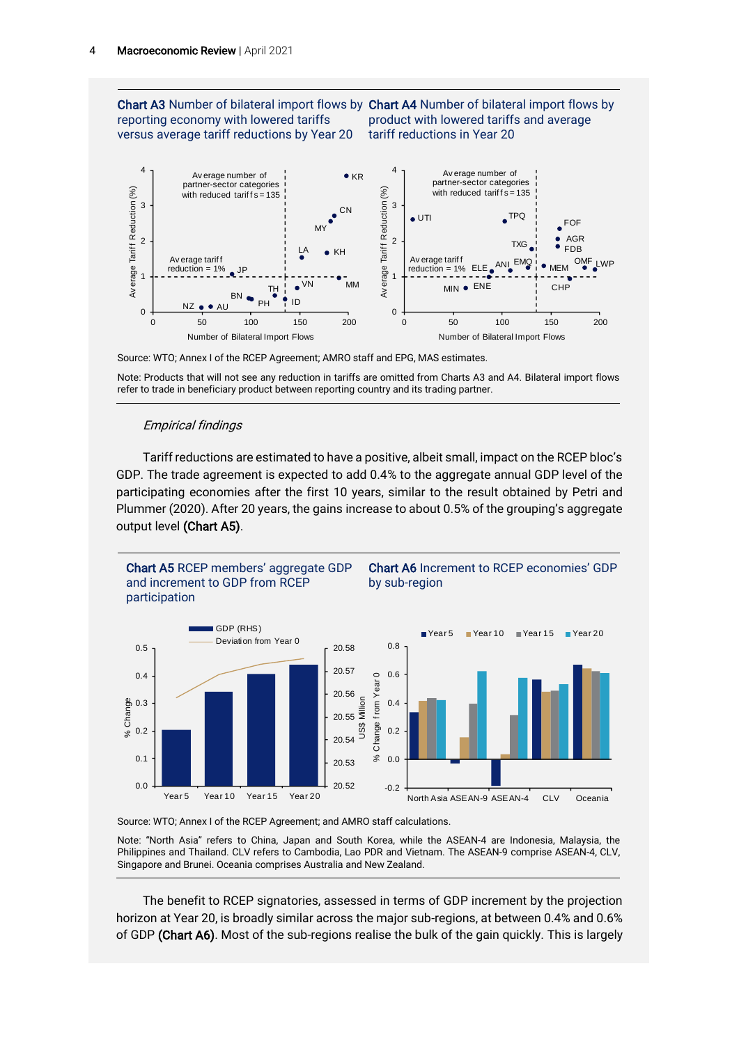Chart A3 Number of bilateral import flows by Chart A4 Number of bilateral import flows by reporting economy with lowered tariffs versus average tariff reductions by Year 20

product with lowered tariffs and average tariff reductions in Year 20



Source: WTO; Annex I of the RCEP Agreement; AMRO staff and EPG, MAS estimates.

Note: Products that will not see any reduction in tariffs are omitted from Charts A3 and A4. Bilateral import flows refer to trade in beneficiary product between reporting country and its trading partner.

#### Empirical findings

Tariff reductions are estimated to have a positive, albeit small, impact on the RCEP bloc's GDP. The trade agreement is expected to add 0.4% to the aggregate annual GDP level of the participating economies after the first 10 years, similar to the result obtained by Petri and Plummer (2020). After 20 years, the gains increase to about 0.5% of the grouping's aggregate output level (Chart A5).





Note: "North Asia" refers to China, Japan and South Korea, while the ASEAN-4 are Indonesia, Malaysia, the Philippines and Thailand. CLV refers to Cambodia, Lao PDR and Vietnam. The ASEAN-9 comprise ASEAN-4, CLV, Singapore and Brunei. Oceania comprises Australia and New Zealand.

The benefit to RCEP signatories, assessed in terms of GDP increment by the projection horizon at Year 20, is broadly similar across the major sub-regions, at between 0.4% and 0.6% of GDP (Chart A6). Most of the sub-regions realise the bulk of the gain quickly. This is largely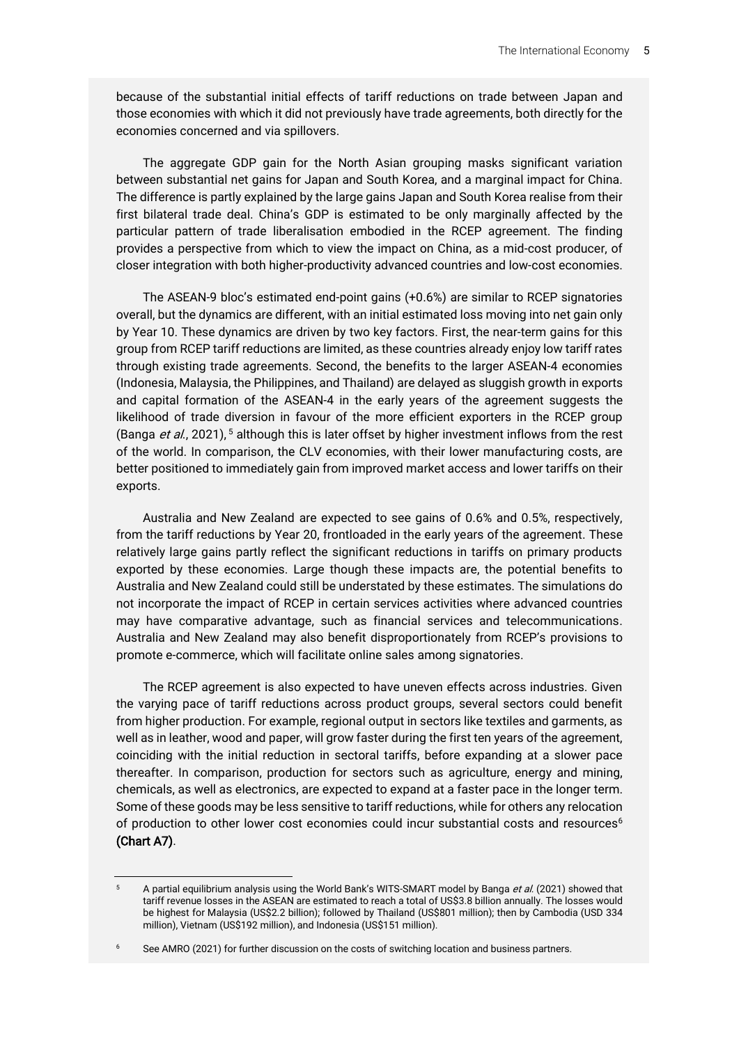because of the substantial initial effects of tariff reductions on trade between Japan and those economies with which it did not previously have trade agreements, both directly for the economies concerned and via spillovers.

The aggregate GDP gain for the North Asian grouping masks significant variation between substantial net gains for Japan and South Korea, and a marginal impact for China. The difference is partly explained by the large gains Japan and South Korea realise from their first bilateral trade deal. China's GDP is estimated to be only marginally affected by the particular pattern of trade liberalisation embodied in the RCEP agreement. The finding provides a perspective from which to view the impact on China, as a mid-cost producer, of closer integration with both higher-productivity advanced countries and low-cost economies.

The ASEAN-9 bloc's estimated end-point gains (+0.6%) are similar to RCEP signatories overall, but the dynamics are different, with an initial estimated loss moving into net gain only by Year 10. These dynamics are driven by two key factors. First, the near-term gains for this group from RCEP tariff reductions are limited, as these countries already enjoy low tariff rates through existing trade agreements. Second, the benefits to the larger ASEAN-4 economies (Indonesia, Malaysia, the Philippines, and Thailand) are delayed as sluggish growth in exports and capital formation of the ASEAN-4 in the early years of the agreement suggests the likelihood of trade diversion in favour of the more efficient exporters in the RCEP group (Banga *et al.*, 2021), <sup>5</sup> although this is later offset by higher investment inflows from the rest of the world. In comparison, the CLV economies, with their lower manufacturing costs, are better positioned to immediately gain from improved market access and lower tariffs on their exports.

Australia and New Zealand are expected to see gains of 0.6% and 0.5%, respectively, from the tariff reductions by Year 20, frontloaded in the early years of the agreement. These relatively large gains partly reflect the significant reductions in tariffs on primary products exported by these economies. Large though these impacts are, the potential benefits to Australia and New Zealand could still be understated by these estimates. The simulations do not incorporate the impact of RCEP in certain services activities where advanced countries may have comparative advantage, such as financial services and telecommunications. Australia and New Zealand may also benefit disproportionately from RCEP's provisions to promote e-commerce, which will facilitate online sales among signatories.

The RCEP agreement is also expected to have uneven effects across industries. Given the varying pace of tariff reductions across product groups, several sectors could benefit from higher production. For example, regional output in sectors like textiles and garments, as well as in leather, wood and paper, will grow faster during the first ten years of the agreement, coinciding with the initial reduction in sectoral tariffs, before expanding at a slower pace thereafter. In comparison, production for sectors such as agriculture, energy and mining, chemicals, as well as electronics, are expected to expand at a faster pace in the longer term. Some of these goods may be less sensitive to tariff reductions, while for others any relocation of production to other lower cost economies could incur substantial costs and resources<sup>6</sup> (Chart A7).

A partial equilibrium analysis using the World Bank's WITS-SMART model by Banga et al. (2021) showed that tariff revenue losses in the ASEAN are estimated to reach a total of US\$3.8 billion annually. The losses would be highest for Malaysia (US\$2.2 billion); followed by Thailand (US\$801 million); then by Cambodia (USD 334 million), Vietnam (US\$192 million), and Indonesia (US\$151 million).

<sup>&</sup>lt;sup>6</sup> See AMRO (2021) for further discussion on the costs of switching location and business partners.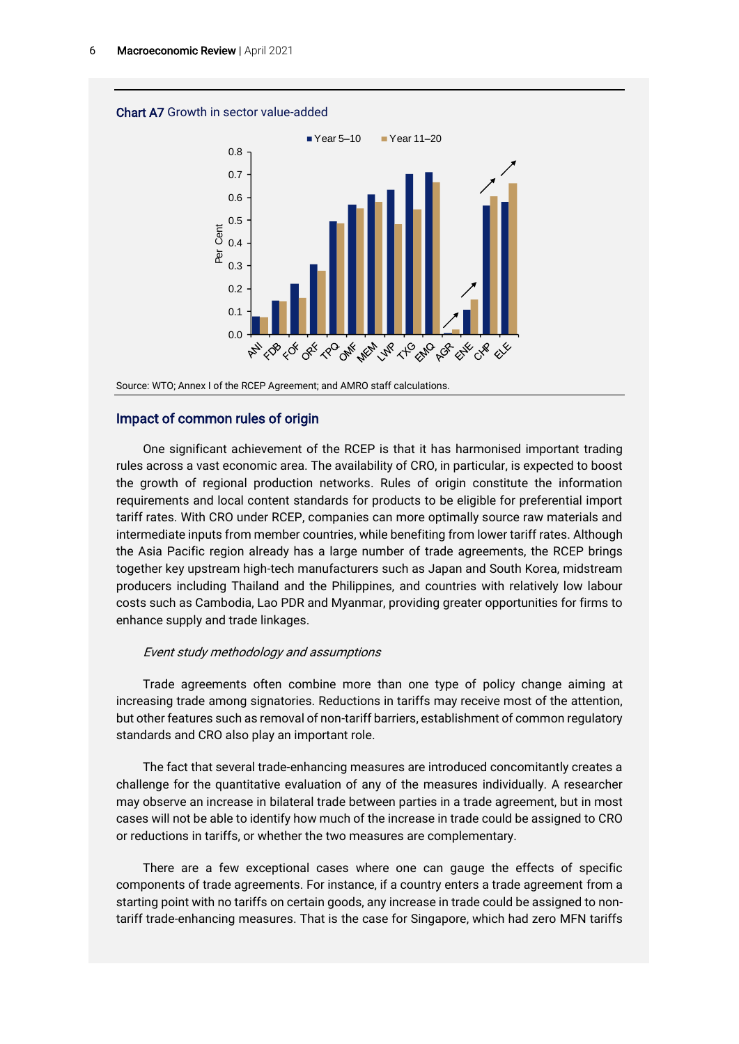

# Impact of common rules of origin

One significant achievement of the RCEP is that it has harmonised important trading rules across a vast economic area. The availability of CRO, in particular, is expected to boost the growth of regional production networks. Rules of origin constitute the information requirements and local content standards for products to be eligible for preferential import tariff rates. With CRO under RCEP, companies can more optimally source raw materials and intermediate inputs from member countries, while benefiting from lower tariff rates. Although the Asia Pacific region already has a large number of trade agreements, the RCEP brings together key upstream high-tech manufacturers such as Japan and South Korea, midstream producers including Thailand and the Philippines, and countries with relatively low labour costs such as Cambodia, Lao PDR and Myanmar, providing greater opportunities for firms to enhance supply and trade linkages.

#### Event study methodology and assumptions

Trade agreements often combine more than one type of policy change aiming at increasing trade among signatories. Reductions in tariffs may receive most of the attention, but other features such as removal of non-tariff barriers, establishment of common regulatory standards and CRO also play an important role.

The fact that several trade-enhancing measures are introduced concomitantly creates a challenge for the quantitative evaluation of any of the measures individually. A researcher may observe an increase in bilateral trade between parties in a trade agreement, but in most cases will not be able to identify how much of the increase in trade could be assigned to CRO or reductions in tariffs, or whether the two measures are complementary.

There are a few exceptional cases where one can gauge the effects of specific components of trade agreements. For instance, if a country enters a trade agreement from a starting point with no tariffs on certain goods, any increase in trade could be assigned to nontariff trade-enhancing measures. That is the case for Singapore, which had zero MFN tariffs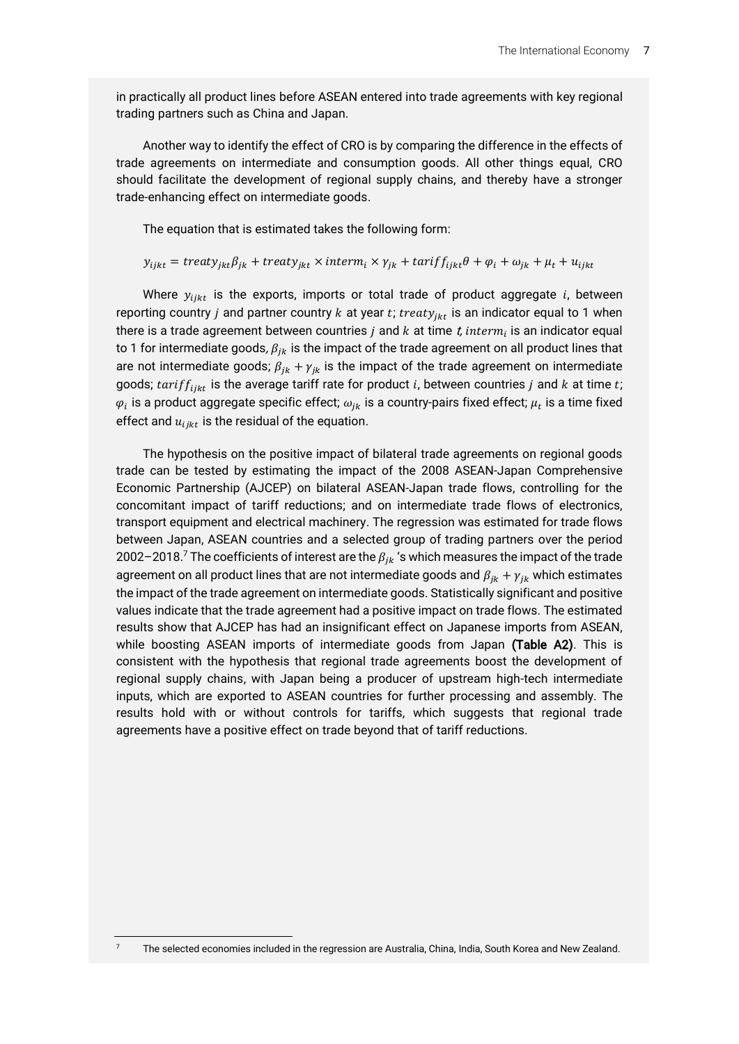in practically all product lines before ASEAN entered into trade agreements with key regional trading partners such as China and Japan.

Another way to identify the effect of CRO is by comparing the difference in the effects of trade agreements on intermediate and consumption goods. All other things equal, CRO should facilitate the development of regional supply chains, and thereby have a stronger trade-enhancing effect on intermediate goods.

The equation that is estimated takes the following form:

#### $y_{ijkt} = treaty_{jkt}\beta_{jk} + treaty_{jkt} \times interm_i \times \gamma_{jk} + tariff_{jkt}\theta + \varphi_i + \omega_{jk} + \mu_t + u_{ijkt}$

Where  $y_{iikt}$  is the exports, imports or total trade of product aggregate i, between reporting country *j* and partner country  $k$  at year  $t$ ;  $t$ reat $y_{jkt}$  is an indicator equal to 1 when there is a trade agreement between countries  $j$  and  $k$  at time  $t$ ,  $interm_i$  is an indicator equal to 1 for intermediate goods,  $\beta_{ik}$  is the impact of the trade agreement on all product lines that are not intermediate goods;  $\beta_{ik} + \gamma_{ik}$  is the impact of the trade agreement on intermediate goods; tarif  $f_{i j k t}$  is the average tariff rate for product i, between countries j and  $k$  at time  $t$ ;  $\varphi_i$  is a product aggregate specific effect;  $\omega_{jk}$  is a country-pairs fixed effect;  $\mu_t$  is a time fixed effect and  $u_{i j k t}$  is the residual of the equation.

The hypothesis on the positive impact of bilateral trade agreements on regional goods trade can be tested by estimating the impact of the 2008 ASEAN-Japan Comprehensive Economic Partnership (AJCEP) on bilateral ASEAN-Japan trade flows, controlling for the concomitant impact of tariff reductions; and on intermediate trade flows of electronics, transport equipment and electrical machinery. The regression was estimated for trade flows between Japan, ASEAN countries and a selected group of trading partners over the period 2002–2018. $^7$  The coefficients of interest are the  $\beta_{jk}$  's which measures the impact of the trade agreement on all product lines that are not intermediate goods and  $\beta_{ik} + \gamma_{ik}$  which estimates the impact of the trade agreement on intermediate goods. Statistically significant and positive values indicate that the trade agreement had a positive impact on trade flows. The estimated results show that AJCEP has had an insignificant effect on Japanese imports from ASEAN, while boosting ASEAN imports of intermediate goods from Japan (Table A2). This is consistent with the hypothesis that regional trade agreements boost the development of regional supply chains, with Japan being a producer of upstream high-tech intermediate inputs, which are exported to ASEAN countries for further processing and assembly. The results hold with or without controls for tariffs, which suggests that regional trade agreements have a positive effect on trade beyond that of tariff reductions.

<sup>7</sup> The selected economies included in the regression are Australia, China, India, South Korea and New Zealand.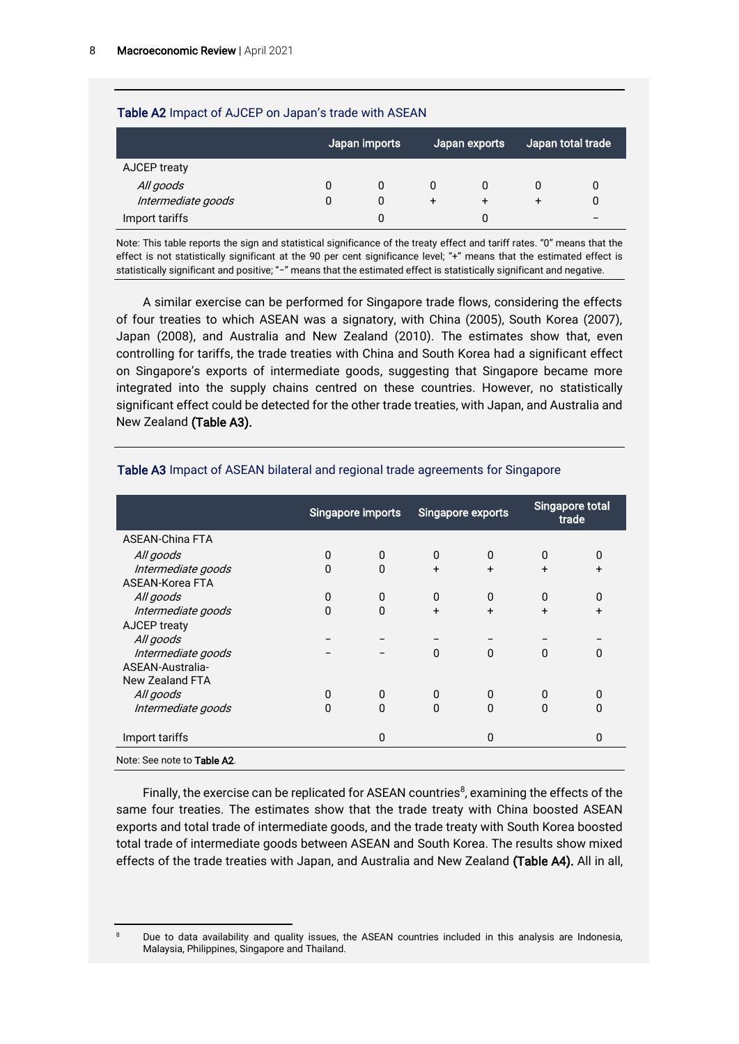## Table A2 Impact of AJCEP on Japan's trade with ASEAN

|                    | Japan imports |   | Japan exports |   | Japan total trade |  |
|--------------------|---------------|---|---------------|---|-------------------|--|
| AJCEP treaty       |               |   |               |   |                   |  |
| All goods          | O             | 0 | 0             |   |                   |  |
| Intermediate goods |               | 0 | $\ddot{}$     | + |                   |  |
| Import tariffs     |               |   |               | 0 |                   |  |

Note: This table reports the sign and statistical significance of the treaty effect and tariff rates. "0" means that the effect is not statistically significant at the 90 per cent significance level; "+" means that the estimated effect is statistically significant and positive; "−" means that the estimated effect is statistically significant and negative.

A similar exercise can be performed for Singapore trade flows, considering the effects of four treaties to which ASEAN was a signatory, with China (2005), South Korea (2007), Japan (2008), and Australia and New Zealand (2010). The estimates show that, even controlling for tariffs, the trade treaties with China and South Korea had a significant effect on Singapore's exports of intermediate goods, suggesting that Singapore became more integrated into the supply chains centred on these countries. However, no statistically significant effect could be detected for the other trade treaties, with Japan, and Australia and New Zealand (Table A3).

|                                     | Singapore imports |              | Singapore exports |          | Singapore total<br>trade |           |
|-------------------------------------|-------------------|--------------|-------------------|----------|--------------------------|-----------|
| <b>ASEAN-China FTA</b>              |                   |              |                   |          |                          |           |
| All goods                           | 0                 | 0            | 0                 | 0        | $\Omega$                 | 0         |
| Intermediate goods                  | $\Omega$          | $\Omega$     | $+$               | $+$      | $+$                      | $+$       |
| ASEAN-Korea FTA                     |                   |              |                   |          |                          |           |
| All goods                           | 0                 | $\mathbf{0}$ | $\Omega$          | 0        | $\Omega$                 | 0         |
| Intermediate goods                  | 0                 | 0            | $\ddot{}$         | $+$      | $\ddot{}$                | $\ddot{}$ |
| AJCEP treaty                        |                   |              |                   |          |                          |           |
| All goods                           |                   |              |                   |          |                          |           |
| Intermediate goods                  |                   |              | $\mathbf{0}$      | $\Omega$ | $\Omega$                 | 0         |
| ASEAN-Australia-                    |                   |              |                   |          |                          |           |
| <b>New Zealand FTA</b>              |                   |              |                   |          |                          |           |
| All goods                           | 0                 | $\Omega$     | $\Omega$          | 0        | $\Omega$                 | 0         |
| Intermediate goods                  | 0                 | 0            | 0                 | 0        | U                        | O         |
| Import tariffs                      |                   | 0            |                   | 0        |                          | 0         |
| Note: See note to <b>Table A2</b> . |                   |              |                   |          |                          |           |

#### Table A3 Impact of ASEAN bilateral and regional trade agreements for Singapore

Finally, the exercise can be replicated for ASEAN countries<sup>8</sup>, examining the effects of the same four treaties. The estimates show that the trade treaty with China boosted ASEAN exports and total trade of intermediate goods, and the trade treaty with South Korea boosted total trade of intermediate goods between ASEAN and South Korea. The results show mixed effects of the trade treaties with Japan, and Australia and New Zealand (Table A4). All in all,

Due to data availability and quality issues, the ASEAN countries included in this analysis are Indonesia, Malaysia, Philippines, Singapore and Thailand.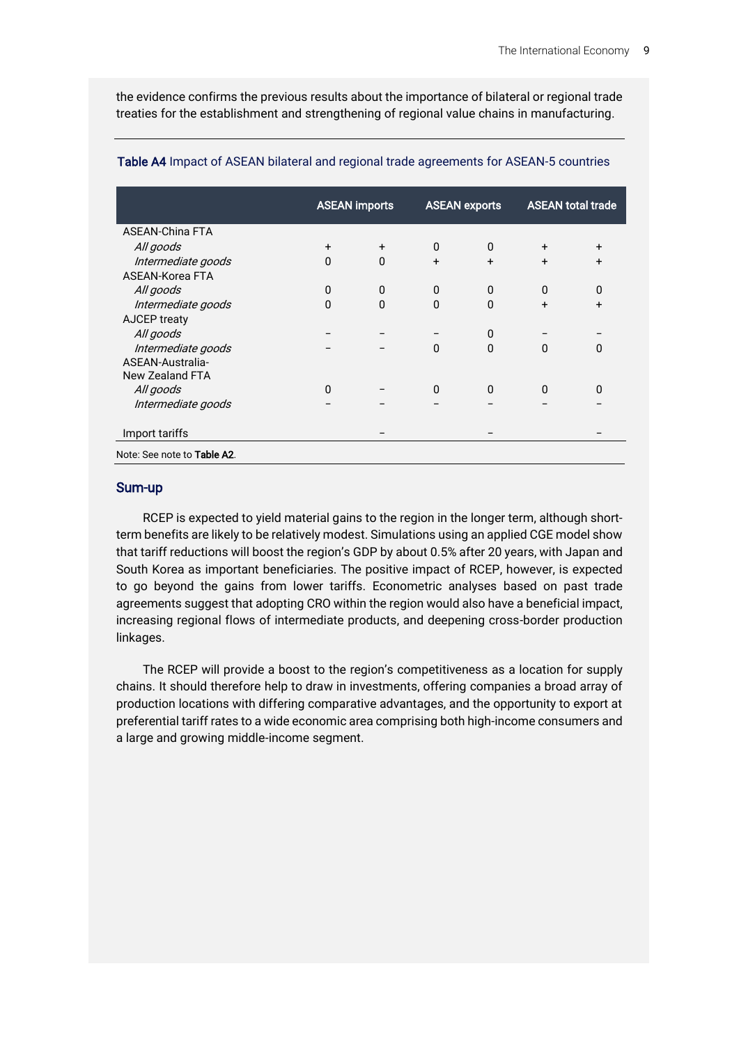the evidence confirms the previous results about the importance of bilateral or regional trade treaties for the establishment and strengthening of regional value chains in manufacturing.

|                             | <b>ASEAN imports</b> |          | <b>ASEAN exports</b> |          | <b>ASEAN total trade</b> |           |
|-----------------------------|----------------------|----------|----------------------|----------|--------------------------|-----------|
| <b>ASEAN-China FTA</b>      |                      |          |                      |          |                          |           |
| All goods                   | $\ddot{}$            | $+$      | $\mathbf{0}$         | $\Omega$ | $\ddot{}$                | $\ddot{}$ |
| Intermediate goods          | $\Omega$             | $\Omega$ | $+$                  | $+$      | $+$                      | $\ddot{}$ |
| ASEAN-Korea FTA             |                      |          |                      |          |                          |           |
| All goods                   | 0                    | 0        | $\mathbf{0}$         | $\Omega$ | $\Omega$                 | 0         |
| Intermediate goods          | 0                    | $\Omega$ | $\Omega$             | $\Omega$ | $+$                      | $\ddot{}$ |
| <b>AJCEP treaty</b>         |                      |          |                      |          |                          |           |
| All goods                   |                      |          |                      | 0        |                          |           |
| Intermediate goods          |                      |          | $\Omega$             | $\Omega$ | $\Omega$                 | $\Omega$  |
| ASEAN-Australia-            |                      |          |                      |          |                          |           |
| <b>New Zealand FTA</b>      |                      |          |                      |          |                          |           |
| All goods                   | $\Omega$             |          | $\mathbf{0}$         | $\Omega$ | $\mathbf{0}$             | 0         |
| Intermediate goods          |                      |          |                      |          |                          |           |
| Import tariffs              |                      |          |                      |          |                          |           |
| Note: See note to Table A2. |                      |          |                      |          |                          |           |

#### Table A4 Impact of ASEAN bilateral and regional trade agreements for ASEAN-5 countries

### Sum-up

RCEP is expected to yield material gains to the region in the longer term, although shortterm benefits are likely to be relatively modest. Simulations using an applied CGE model show that tariff reductions will boost the region's GDP by about 0.5% after 20 years, with Japan and South Korea as important beneficiaries. The positive impact of RCEP, however, is expected to go beyond the gains from lower tariffs. Econometric analyses based on past trade agreements suggest that adopting CRO within the region would also have a beneficial impact, increasing regional flows of intermediate products, and deepening cross-border production linkages.

The RCEP will provide a boost to the region's competitiveness as a location for supply chains. It should therefore help to draw in investments, offering companies a broad array of production locations with differing comparative advantages, and the opportunity to export at preferential tariff rates to a wide economic area comprising both high-income consumers and a large and growing middle-income segment.